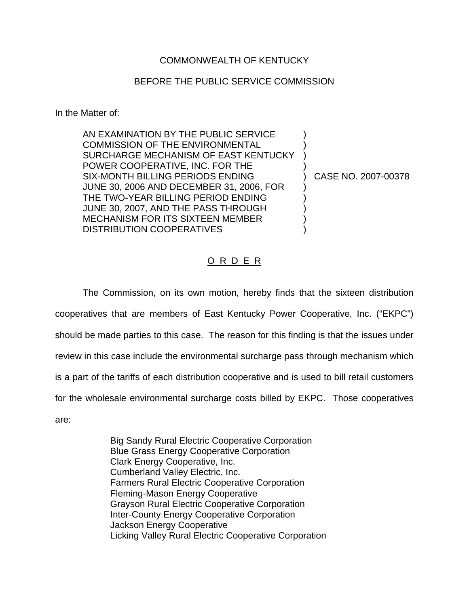## COMMONWEALTH OF KENTUCKY

### BEFORE THE PUBLIC SERVICE COMMISSION

In the Matter of:

AN EXAMINATION BY THE PUBLIC SERVICE  $\qquad \qquad$  ) COMMISSION OF THE ENVIRONMENTAL SURCHARGE MECHANISM OF EAST KENTUCKY ) POWER COOPERATIVE, INC. FOR THE ) SIX-MONTH BILLING PERIODS ENDING (2007-00378) JUNE 30, 2006 AND DECEMBER 31, 2006, FOR ) THE TWO-YEAR BILLING PERIOD ENDING ) JUNE 30, 2007, AND THE PASS THROUGH ) MECHANISM FOR ITS SIXTEEN MEMBER DISTRIBUTION COOPERATIVES

# O R D E R

The Commission, on its own motion, hereby finds that the sixteen distribution cooperatives that are members of East Kentucky Power Cooperative, Inc. ("EKPC") should be made parties to this case. The reason for this finding is that the issues under review in this case include the environmental surcharge pass through mechanism which is a part of the tariffs of each distribution cooperative and is used to bill retail customers for the wholesale environmental surcharge costs billed by EKPC. Those cooperatives are:

> Big Sandy Rural Electric Cooperative Corporation Blue Grass Energy Cooperative Corporation Clark Energy Cooperative, Inc. Cumberland Valley Electric, Inc. Farmers Rural Electric Cooperative Corporation Fleming-Mason Energy Cooperative Grayson Rural Electric Cooperative Corporation Inter-County Energy Cooperative Corporation Jackson Energy Cooperative Licking Valley Rural Electric Cooperative Corporation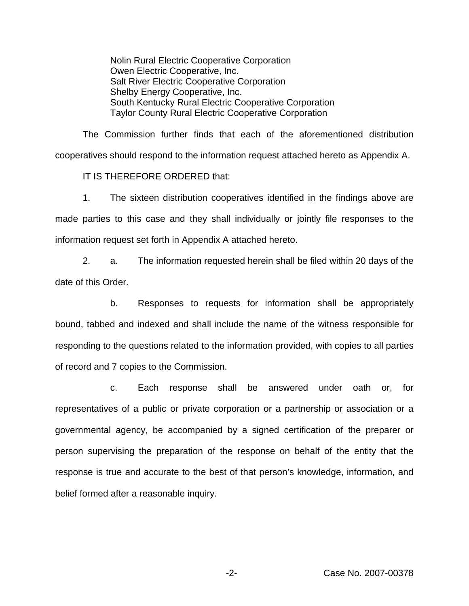Nolin Rural Electric Cooperative Corporation Owen Electric Cooperative, Inc. Salt River Electric Cooperative Corporation Shelby Energy Cooperative, Inc. South Kentucky Rural Electric Cooperative Corporation Taylor County Rural Electric Cooperative Corporation

The Commission further finds that each of the aforementioned distribution cooperatives should respond to the information request attached hereto as Appendix A.

IT IS THEREFORE ORDERED that:

1. The sixteen distribution cooperatives identified in the findings above are made parties to this case and they shall individually or jointly file responses to the information request set forth in Appendix A attached hereto.

2. a. The information requested herein shall be filed within 20 days of the date of this Order.

b. Responses to requests for information shall be appropriately bound, tabbed and indexed and shall include the name of the witness responsible for responding to the questions related to the information provided, with copies to all parties of record and 7 copies to the Commission.

c. Each response shall be answered under oath or, for representatives of a public or private corporation or a partnership or association or a governmental agency, be accompanied by a signed certification of the preparer or person supervising the preparation of the response on behalf of the entity that the response is true and accurate to the best of that person's knowledge, information, and belief formed after a reasonable inquiry.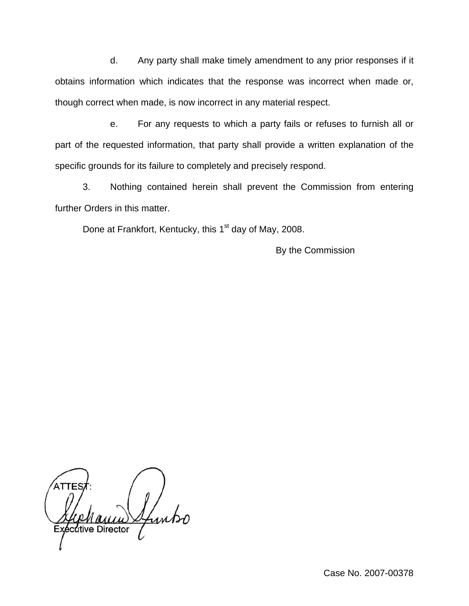d. Any party shall make timely amendment to any prior responses if it obtains information which indicates that the response was incorrect when made or, though correct when made, is now incorrect in any material respect.

e. For any requests to which a party fails or refuses to furnish all or part of the requested information, that party shall provide a written explanation of the specific grounds for its failure to completely and precisely respond.

3. Nothing contained herein shall prevent the Commission from entering further Orders in this matter.

Done at Frankfort, Kentucky, this 1<sup>st</sup> day of May, 2008.

By the Commission

Lunko cutive Director